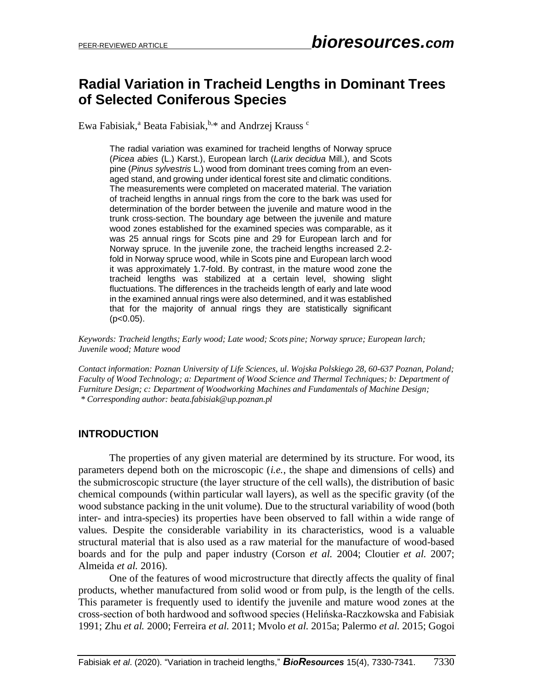# **Radial Variation in Tracheid Lengths in Dominant Trees of Selected Coniferous Species**

Ewa Fabisiak,<sup>a</sup> Beata Fabisiak, **b.\*** and Andrzej Krauss <sup>c</sup>

The radial variation was examined for tracheid lengths of Norway spruce (*Picea abies* (L.) Karst.), European larch (*Larix decidua* Mill.), and Scots pine (*Pinus sylvestris* L.) wood from dominant trees coming from an evenaged stand, and growing under identical forest site and climatic conditions. The measurements were completed on macerated material. The variation of tracheid lengths in annual rings from the core to the bark was used for determination of the border between the juvenile and mature wood in the trunk cross-section. The boundary age between the juvenile and mature wood zones established for the examined species was comparable, as it was 25 annual rings for Scots pine and 29 for European larch and for Norway spruce. In the juvenile zone, the tracheid lengths increased 2.2 fold in Norway spruce wood, while in Scots pine and European larch wood it was approximately 1.7-fold. By contrast, in the mature wood zone the tracheid lengths was stabilized at a certain level, showing slight fluctuations. The differences in the tracheids length of early and late wood in the examined annual rings were also determined, and it was established that for the majority of annual rings they are statistically significant  $(p<0.05)$ .

*Keywords: Tracheid lengths; Early wood; Late wood; Scots pine; Norway spruce; European larch; Juvenile wood; Mature wood*

*Contact information: Poznan University of Life Sciences, ul. Wojska Polskiego 28, 60-637 Poznan, Poland; Faculty of Wood Technology; a: Department of Wood Science and Thermal Techniques; b: Department of Furniture Design; c: Department of Woodworking Machines and Fundamentals of Machine Design; \* Corresponding author: beata.fabisiak@up.poznan.pl*

#### **INTRODUCTION**

The properties of any given material are determined by its structure. For wood, its parameters depend both on the microscopic (*i.e.*, the shape and dimensions of cells) and the submicroscopic structure (the layer structure of the cell walls), the distribution of basic chemical compounds (within particular wall layers), as well as the specific gravity (of the wood substance packing in the unit volume). Due to the structural variability of wood (both inter- and intra-species) its properties have been observed to fall within a wide range of values. Despite the considerable variability in its characteristics, wood is a valuable structural material that is also used as a raw material for the manufacture of wood-based boards and for the pulp and paper industry (Corson *et al.* 2004; Cloutier *et al.* 2007; Almeida *et al.* 2016).

One of the features of wood microstructure that directly affects the quality of final products, whether manufactured from solid wood or from pulp, is the length of the cells. This parameter is frequently used to identify the juvenile and mature wood zones at the cross-section of both hardwood and softwood species (Helińska-Raczkowska and Fabisiak 1991; Zhu *et al.* 2000; Ferreira *et al.* 2011; Mvolo *et al.* 2015a; Palermo *et al.* 2015; Gogoi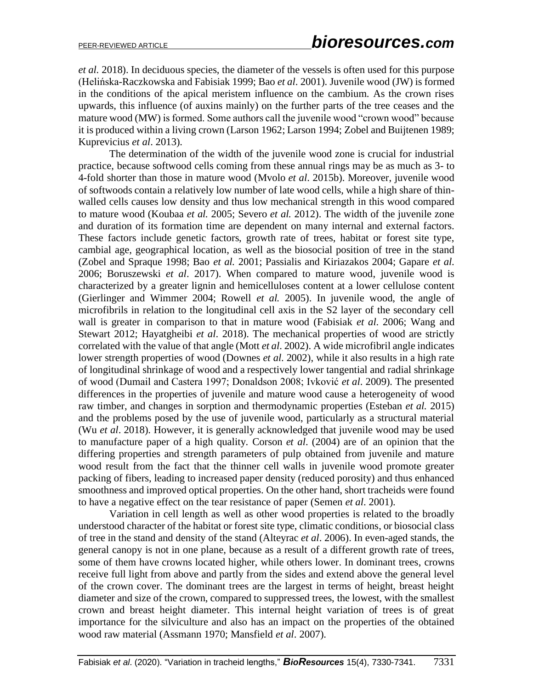*et al.* 2018). In deciduous species, the diameter of the vessels is often used for this purpose (Helińska-Raczkowska and Fabisiak 1999; Bao *et al*. 2001). Juvenile wood (JW) is formed in the conditions of the apical meristem influence on the cambium. As the crown rises upwards, this influence (of auxins mainly) on the further parts of the tree ceases and the mature wood (MW) is formed. Some authors call the juvenile wood "crown wood" because it is produced within a living crown (Larson 1962; Larson 1994; Zobel and Buijtenen 1989; Kuprevicius *et al*. 2013).

The determination of the width of the juvenile wood zone is crucial for industrial practice, because softwood cells coming from these annual rings may be as much as 3- to 4-fold shorter than those in mature wood (Mvolo *et al*. 2015b). Moreover, juvenile wood of softwoods contain a relatively low number of late wood cells, while a high share of thinwalled cells causes low density and thus low mechanical strength in this wood compared to mature wood (Koubaa *et al.* 2005; Severo *et al.* 2012). The width of the juvenile zone and duration of its formation time are dependent on many internal and external factors. These factors include genetic factors, growth rate of trees, habitat or forest site type, cambial age, geographical location, as well as the biosocial position of tree in the stand (Zobel and Spraque 1998; Bao *et al.* 2001; Passialis and Kiriazakos 2004; Gapare *et al*. 2006; Boruszewski *et al*. 2017). When compared to mature wood, juvenile wood is characterized by a greater lignin and hemicelluloses content at a lower cellulose content (Gierlinger and Wimmer 2004; Rowell *et al.* 2005). In juvenile wood, the angle of microfibrils in relation to the longitudinal cell axis in the S2 layer of the secondary cell wall is greater in comparison to that in mature wood (Fabisiak *et al*. 2006; Wang and Stewart 2012; Hayatgheibi *et al*. 2018). The mechanical properties of wood are strictly correlated with the value of that angle (Mott *et al*. 2002). A wide microfibril angle indicates lower strength properties of wood (Downes *et al*. 2002), while it also results in a high rate of longitudinal shrinkage of wood and a respectively lower tangential and radial shrinkage of wood (Dumail and Castera 1997; Donaldson 2008; Ivković *et al*. 2009). The presented differences in the properties of juvenile and mature wood cause a heterogeneity of wood raw timber, and changes in sorption and thermodynamic properties (Esteban *et al.* 2015) and the problems posed by the use of juvenile wood, particularly as a structural material (Wu *et al*. 2018). However, it is generally acknowledged that juvenile wood may be used to manufacture paper of a high quality. Corson *et al*. (2004) are of an opinion that the differing properties and strength parameters of pulp obtained from juvenile and mature wood result from the fact that the thinner cell walls in juvenile wood promote greater packing of fibers, leading to increased paper density (reduced porosity) and thus enhanced smoothness and improved optical properties. On the other hand, short tracheids were found to have a negative effect on the tear resistance of paper (Semen *et al*. 2001).

Variation in cell length as well as other wood properties is related to the broadly understood character of the habitat or forest site type, climatic conditions, or biosocial class of tree in the stand and density of the stand (Alteyrac *et al*. 2006). In even-aged stands, the general canopy is not in one plane, because as a result of a different growth rate of trees, some of them have crowns located higher, while others lower. In dominant trees, crowns receive full light from above and partly from the sides and extend above the general level of the crown cover. The dominant trees are the largest in terms of height, breast height diameter and size of the crown, compared to suppressed trees, the lowest, with the smallest crown and breast height diameter. This internal height variation of trees is of great importance for the silviculture and also has an impact on the properties of the obtained wood raw material (Assmann 1970; Mansfield *et al*. 2007).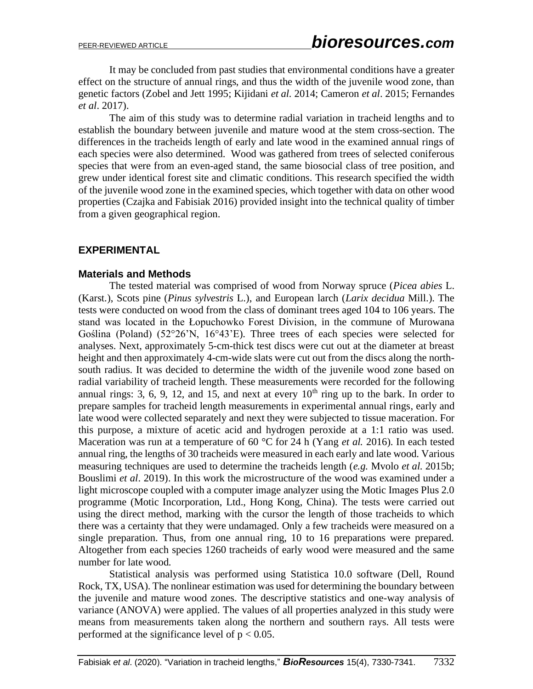It may be concluded from past studies that environmental conditions have a greater effect on the structure of annual rings, and thus the width of the juvenile wood zone, than genetic factors (Zobel and Jett 1995; Kijidani *et al.* 2014; Cameron *et al*. 2015; Fernandes *et al*. 2017).

The aim of this study was to determine radial variation in tracheid lengths and to establish the boundary between juvenile and mature wood at the stem cross-section. The differences in the tracheids length of early and late wood in the examined annual rings of each species were also determined. Wood was gathered from trees of selected coniferous species that were from an even-aged stand, the same biosocial class of tree position, and grew under identical forest site and climatic conditions. This research specified the width of the juvenile wood zone in the examined species, which together with data on other wood properties (Czajka and Fabisiak 2016) provided insight into the technical quality of timber from a given geographical region.

#### **EXPERIMENTAL**

#### **Materials and Methods**

The tested material was comprised of wood from Norway spruce (*Picea abies* L. (Karst.), Scots pine (*Pinus sylvestris* L.), and European larch (*Larix decidua* Mill.). The tests were conducted on wood from the class of dominant trees aged 104 to 106 years. The stand was located in the Łopuchowko Forest Division, in the commune of Murowana Goślina (Poland) (52°26'N, 16°43'E). Three trees of each species were selected for analyses. Next, approximately 5-cm-thick test discs were cut out at the diameter at breast height and then approximately 4-cm-wide slats were cut out from the discs along the northsouth radius. It was decided to determine the width of the juvenile wood zone based on radial variability of tracheid length. These measurements were recorded for the following annual rings: 3, 6, 9, 12, and 15, and next at every  $10<sup>th</sup>$  ring up to the bark. In order to prepare samples for tracheid length measurements in experimental annual rings, early and late wood were collected separately and next they were subjected to tissue maceration. For this purpose, a mixture of acetic acid and hydrogen peroxide at a 1:1 ratio was used. Maceration was run at a temperature of 60 °C for 24 h (Yang *et al.* 2016). In each tested annual ring, the lengths of 30 tracheids were measured in each early and late wood. Various measuring techniques are used to determine the tracheids length (*e.g.* Mvolo *et al*. 2015b; Bouslimi *et al*. 2019). In this work the microstructure of the wood was examined under a light microscope coupled with a computer image analyzer using the Motic Images Plus 2.0 programme (Motic Incorporation, Ltd., Hong Kong, China). The tests were carried out using the direct method, marking with the cursor the length of those tracheids to which there was a certainty that they were undamaged. Only a few tracheids were measured on a single preparation. Thus, from one annual ring, 10 to 16 preparations were prepared. Altogether from each species 1260 tracheids of early wood were measured and the same number for late wood.

Statistical analysis was performed using Statistica 10.0 software (Dell, Round Rock, TX, USA). The nonlinear estimation was used for determining the boundary between the juvenile and mature wood zones. The descriptive statistics and one-way analysis of variance (ANOVA) were applied. The values of all properties analyzed in this study were means from measurements taken along the northern and southern rays. All tests were performed at the significance level of  $p < 0.05$ .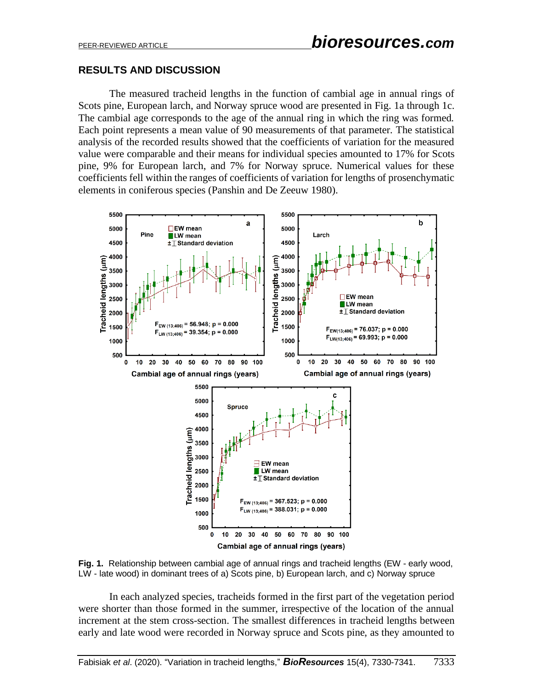#### **RESULTS AND DISCUSSION**

The measured tracheid lengths in the function of cambial age in annual rings of Scots pine, European larch, and Norway spruce wood are presented in Fig. 1a through 1c. The cambial age corresponds to the age of the annual ring in which the ring was formed. Each point represents a mean value of 90 measurements of that parameter. The statistical analysis of the recorded results showed that the coefficients of variation for the measured value were comparable and their means for individual species amounted to 17% for Scots pine, 9% for European larch, and 7% for Norway spruce. Numerical values for these coefficients fell within the ranges of coefficients of variation for lengths of prosenchymatic elements in coniferous species (Panshin and De Zeeuw 1980).



**Fig. 1.** Relationship between cambial age of annual rings and tracheid lengths (EW - early wood, LW - late wood) in dominant trees of a) Scots pine, b) European larch, and c) Norway spruce

In each analyzed species, tracheids formed in the first part of the vegetation period were shorter than those formed in the summer, irrespective of the location of the annual increment at the stem cross-section. The smallest differences in tracheid lengths between early and late wood were recorded in Norway spruce and Scots pine, as they amounted to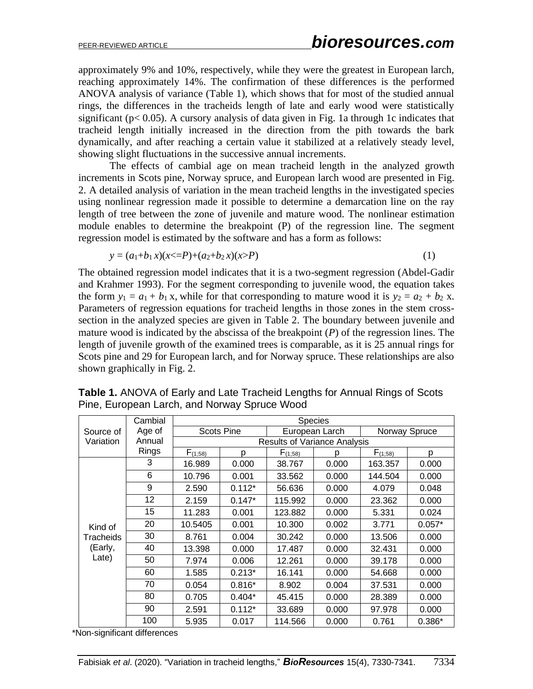approximately 9% and 10%, respectively, while they were the greatest in European larch, reaching approximately 14%. The confirmation of these differences is the performed ANOVA analysis of variance (Table 1), which shows that for most of the studied annual rings, the differences in the tracheids length of late and early wood were statistically significant ( $p < 0.05$ ). A cursory analysis of data given in Fig. 1a through 1c indicates that tracheid length initially increased in the direction from the pith towards the bark dynamically, and after reaching a certain value it stabilized at a relatively steady level, showing slight fluctuations in the successive annual increments.

The effects of cambial age on mean tracheid length in the analyzed growth increments in Scots pine, Norway spruce, and European larch wood are presented in Fig. 2. A detailed analysis of variation in the mean tracheid lengths in the investigated species using nonlinear regression made it possible to determine a demarcation line on the ray length of tree between the zone of juvenile and mature wood. The nonlinear estimation module enables to determine the breakpoint (P) of the regression line. The segment regression model is estimated by the software and has a form as follows:

$$
y = (a_1 + b_1 x)(x \le P) + (a_2 + b_2 x)(x > P) \tag{1}
$$

The obtained regression model indicates that it is a two-segment regression (Abdel-Gadir and Krahmer 1993). For the segment corresponding to juvenile wood, the equation takes the form  $y_1 = a_1 + b_1 x$ , while for that corresponding to mature wood it is  $y_2 = a_2 + b_2 x$ . Parameters of regression equations for tracheid lengths in those zones in the stem crosssection in the analyzed species are given in Table 2. The boundary between juvenile and mature wood is indicated by the abscissa of the breakpoint (*P*) of the regression lines. The length of juvenile growth of the examined trees is comparable, as it is 25 annual rings for Scots pine and 29 for European larch, and for Norway spruce. These relationships are also shown graphically in Fig. 2.

|                                          | Cambial | <b>Species</b>                      |                   |                |       |               |          |  |
|------------------------------------------|---------|-------------------------------------|-------------------|----------------|-------|---------------|----------|--|
| Source of<br>Variation                   | Age of  |                                     | <b>Scots Pine</b> | European Larch |       | Norway Spruce |          |  |
|                                          | Annual  | <b>Results of Variance Analysis</b> |                   |                |       |               |          |  |
|                                          | Rings   | $F_{(1;58)}$                        | D                 | $F_{(1,58)}$   | p     | $F_{(1;58)}$  | р        |  |
| Kind of<br>Tracheids<br>(Early,<br>Late) | 3       | 16.989                              | 0.000             | 38.767         | 0.000 | 163.357       | 0.000    |  |
|                                          | 6       | 10.796                              | 0.001             | 33.562         | 0.000 | 144.504       | 0.000    |  |
|                                          | 9       | 2.590                               | $0.112*$          | 56.636         | 0.000 | 4.079         | 0.048    |  |
|                                          | 12      | 2.159                               | $0.147*$          | 115.992        | 0.000 | 23.362        | 0.000    |  |
|                                          | 15      | 11.283                              | 0.001             | 123.882        | 0.000 | 5.331         | 0.024    |  |
|                                          | 20      | 10.5405                             | 0.001             | 10.300         | 0.002 | 3.771         | $0.057*$ |  |
|                                          | 30      | 8.761                               | 0.004             | 30.242         | 0.000 | 13.506        | 0.000    |  |
|                                          | 40      | 13.398                              | 0.000             | 17.487         | 0.000 | 32.431        | 0.000    |  |
|                                          | 50      | 7.974                               | 0.006             | 12.261         | 0.000 | 39.178        | 0.000    |  |
|                                          | 60      | 1.585                               | $0.213*$          | 16.141         | 0.000 | 54.668        | 0.000    |  |
|                                          | 70      | 0.054                               | $0.816*$          | 8.902          | 0.004 | 37.531        | 0.000    |  |
|                                          | 80      | 0.705                               | $0.404*$          | 45.415         | 0.000 | 28.389        | 0.000    |  |
|                                          | 90      | 2.591                               | $0.112*$          | 33.689         | 0.000 | 97.978        | 0.000    |  |
|                                          | 100     | 5.935                               | 0.017             | 114.566        | 0.000 | 0.761         | $0.386*$ |  |

**Table 1.** ANOVA of Early and Late Tracheid Lengths for Annual Rings of Scots Pine, European Larch, and Norway Spruce Wood

\*Non-significant differences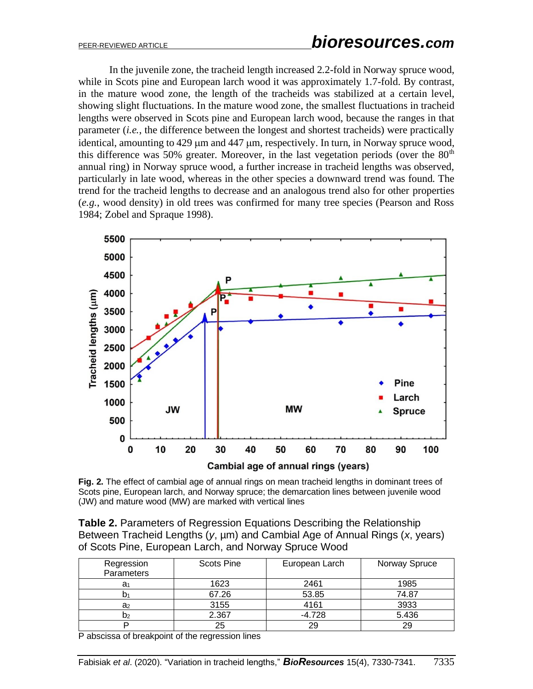In the juvenile zone, the tracheid length increased 2.2-fold in Norway spruce wood, while in Scots pine and European larch wood it was approximately 1.7-fold. By contrast, in the mature wood zone, the length of the tracheids was stabilized at a certain level, showing slight fluctuations. In the mature wood zone, the smallest fluctuations in tracheid lengths were observed in Scots pine and European larch wood, because the ranges in that parameter (*i.e.*, the difference between the longest and shortest tracheids) were practically identical, amounting to  $429 \mu m$  and  $447 \mu m$ , respectively. In turn, in Norway spruce wood, this difference was 50% greater. Moreover, in the last vegetation periods (over the  $80<sup>th</sup>$ annual ring) in Norway spruce wood, a further increase in tracheid lengths was observed, particularly in late wood, whereas in the other species a downward trend was found. The trend for the tracheid lengths to decrease and an analogous trend also for other properties (*e.g.*, wood density) in old trees was confirmed for many tree species (Pearson and Ross 1984; Zobel and Spraque 1998).



**Fig. 2.** The effect of cambial age of annual rings on mean tracheid lengths in dominant trees of Scots pine, European larch, and Norway spruce; the demarcation lines between juvenile wood (JW) and mature wood (MW) are marked with vertical lines

| <b>Table 2.</b> Parameters of Regression Equations Describing the Relationship           |
|------------------------------------------------------------------------------------------|
| Between Tracheid Lengths ( $y$ , $\mu$ m) and Cambial Age of Annual Rings ( $x$ , years) |
| of Scots Pine, European Larch, and Norway Spruce Wood                                    |

| Regression<br>Parameters | <b>Scots Pine</b> | European Larch | Norway Spruce |
|--------------------------|-------------------|----------------|---------------|
| a <sub>1</sub>           | 1623              | 2461           | 1985          |
|                          | 67.26             | 53.85          | 74.87         |
| a <sub>2</sub>           | 3155              | 4161           | 3933          |
| D2                       | 2.367             | $-4.728$       | 5.436         |
|                          | 25                | 29             | 29            |

P abscissa of breakpoint of the regression lines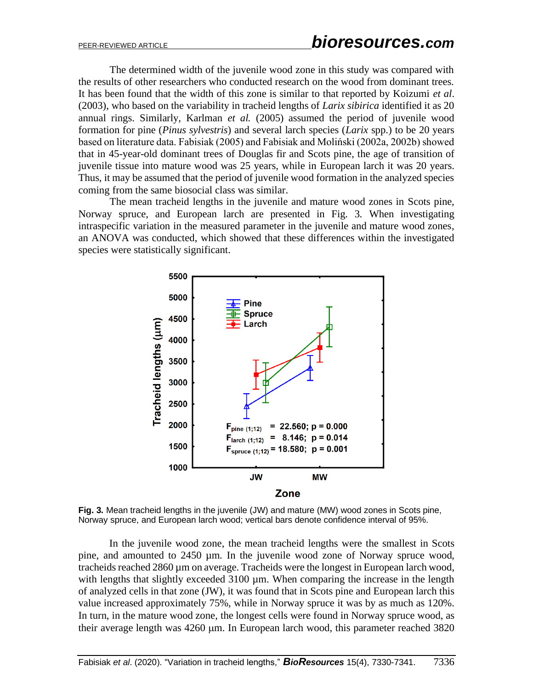The determined width of the juvenile wood zone in this study was compared with the results of other researchers who conducted research on the wood from dominant trees. It has been found that the width of this zone is similar to that reported by Koizumi *et al*. (2003), who based on the variability in tracheid lengths of *Larix sibirica* identified it as 20 annual rings. Similarly, Karlman *et al.* (2005) assumed the period of juvenile wood formation for pine (*Pinus sylvestris*) and several larch species (*Larix* spp.) to be 20 years based on literature data. Fabisiak (2005) and Fabisiak and Moliński (2002a, 2002b) showed that in 45-year-old dominant trees of Douglas fir and Scots pine, the age of transition of juvenile tissue into mature wood was 25 years, while in European larch it was 20 years. Thus, it may be assumed that the period of juvenile wood formation in the analyzed species coming from the same biosocial class was similar.

The mean tracheid lengths in the juvenile and mature wood zones in Scots pine, Norway spruce, and European larch are presented in Fig. 3. When investigating intraspecific variation in the measured parameter in the juvenile and mature wood zones, an ANOVA was conducted, which showed that these differences within the investigated species were statistically significant.



**Fig. 3.** Mean tracheid lengths in the juvenile (JW) and mature (MW) wood zones in Scots pine, Norway spruce, and European larch wood; vertical bars denote confidence interval of 95%.

In the juvenile wood zone, the mean tracheid lengths were the smallest in Scots pine, and amounted to 2450 µm. In the juvenile wood zone of Norway spruce wood, tracheids reached 2860 µm on average. Tracheids were the longest in European larch wood, with lengths that slightly exceeded 3100 µm. When comparing the increase in the length of analyzed cells in that zone (JW), it was found that in Scots pine and European larch this value increased approximately 75%, while in Norway spruce it was by as much as 120%. In turn, in the mature wood zone, the longest cells were found in Norway spruce wood, as their average length was 4260 µm. In European larch wood, this parameter reached 3820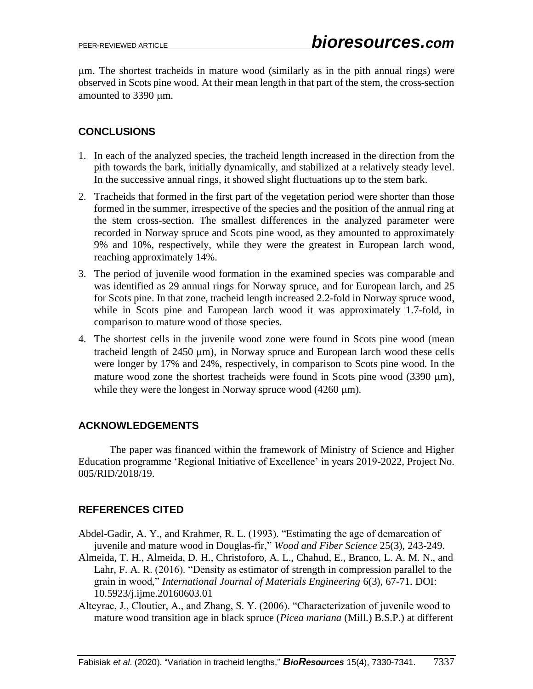m. The shortest tracheids in mature wood (similarly as in the pith annual rings) were observed in Scots pine wood. At their mean length in that part of the stem, the cross-section amounted to 3390 µm.

## **CONCLUSIONS**

- 1. In each of the analyzed species, the tracheid length increased in the direction from the pith towards the bark, initially dynamically, and stabilized at a relatively steady level. In the successive annual rings, it showed slight fluctuations up to the stem bark.
- 2. Tracheids that formed in the first part of the vegetation period were shorter than those formed in the summer, irrespective of the species and the position of the annual ring at the stem cross-section. The smallest differences in the analyzed parameter were recorded in Norway spruce and Scots pine wood, as they amounted to approximately 9% and 10%, respectively, while they were the greatest in European larch wood, reaching approximately 14%.
- 3. The period of juvenile wood formation in the examined species was comparable and was identified as 29 annual rings for Norway spruce, and for European larch, and 25 for Scots pine. In that zone, tracheid length increased 2.2-fold in Norway spruce wood, while in Scots pine and European larch wood it was approximately 1.7-fold, in comparison to mature wood of those species.
- 4. The shortest cells in the juvenile wood zone were found in Scots pine wood (mean tracheid length of  $2450 \mu m$ ), in Norway spruce and European larch wood these cells were longer by 17% and 24%, respectively, in comparison to Scots pine wood. In the mature wood zone the shortest tracheids were found in Scots pine wood  $(3390 \mu m)$ , while they were the longest in Norway spruce wood  $(4260 \text{ µm})$ .

### **ACKNOWLEDGEMENTS**

The paper was financed within the framework of Ministry of Science and Higher Education programme 'Regional Initiative of Excellence' in years 2019-2022, Project No. 005/RID/2018/19.

## **REFERENCES CITED**

- Abdel-Gadir, A. Y., and Krahmer, R. L. (1993). "Estimating the age of demarcation of juvenile and mature wood in Douglas-fir," *Wood and Fiber Science* 25(3), 243-249.
- Almeida, T. H., Almeida, D. H., Christoforo, A. L., Chahud, E., Branco, L. A. M. N., and Lahr, F. A. R. (2016). "Density as estimator of strength in compression parallel to the grain in wood," *International Journal of Materials Engineering* 6(3), 67-71. DOI: 10.5923/j.ijme.20160603.01
- Alteyrac, J., Cloutier, A., and Zhang, S. Y. (2006). "Characterization of juvenile wood to mature wood transition age in black spruce (*Picea mariana* (Mill.) B.S.P.) at different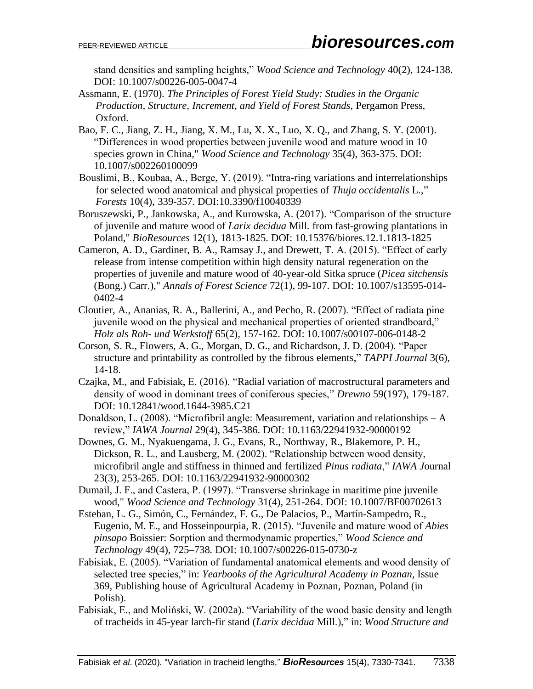stand densities and sampling heights," *Wood Science and Technology* 40(2), 124-138. DOI: 10.1007/s00226-005-0047-4

- Assmann, E. (1970). *The Principles of Forest Yield Study: Studies in the Organic Production, Structure, Increment, and Yield of Forest Stands*, Pergamon Press, Oxford.
- Bao, F. C., Jiang, Z. H., Jiang, X. M., Lu, X. X., Luo, X. Q., and Zhang, S. Y. (2001). "Differences in wood properties between juvenile wood and mature wood in 10 species grown in China," *Wood Science and Technology* 35(4), 363-375. DOI: 10.1007/s002260100099
- Bouslimi, B., Koubaa, A., Berge, Y. (2019). "Intra-ring variations and interrelationships for selected wood anatomical and physical properties of *Thuja occidentalis* L.," *Forests* 10(4), 339-357. DOI:10.3390/f10040339
- Boruszewski, P., Jankowska, A., and Kurowska, A. (2017). "Comparison of the structure of juvenile and mature wood of *Larix decidua* Mill. from fast-growing plantations in Poland," *BioResources* 12(1), 1813-1825. DOI: 10.15376/biores.12.1.1813-1825
- Cameron, A. D., Gardiner, B. A., Ramsay J., and Drewett, T. A. (2015). "Effect of early release from intense competition within high density natural regeneration on the properties of juvenile and mature wood of 40-year-old Sitka spruce (*Picea sitchensis* (Bong.) Carr.)," *Annals of Forest Science* 72(1), 99-107. DOI: 10.1007/s13595-014- 0402-4
- Cloutier, A., Ananias, R. A., Ballerini, A., and Pecho, R. (2007). "Effect of radiata pine juvenile wood on the physical and mechanical properties of oriented strandboard," *Holz als Roh- und Werkstoff* 65(2), 157-162. DOI: 10.1007/s00107-006-0148-2
- Corson, S. R., Flowers, A. G., Morgan, D. G., and Richardson, J. D. (2004). "Paper structure and printability as controlled by the fibrous elements," *TAPPI Journal* 3(6), 14-18.
- Czajka, M., and Fabisiak, E. (2016). "Radial variation of macrostructural parameters and density of wood in dominant trees of coniferous species," *Drewno* 59(197), 179-187. DOI: 10.12841/wood.1644-3985.C21
- Donaldson, L. (2008). "Microfibril angle: Measurement, variation and relationships A review," *IAWA Journal* 29(4), 345-386. DOI: 10.1163/22941932-90000192
- Downes, G. M., Nyakuengama, J. G., Evans, R., Northway, R., Blakemore, P. H., Dickson, R. L., and Lausberg, M. (2002). "Relationship between wood density, microfibril angle and stiffness in thinned and fertilized *Pinus radiata*," *IAWA J*ournal 23(3), 253-265. DOI: 10.1163/22941932-90000302
- Dumail, J. F., and Castera, P. (1997). "Transverse shrinkage in maritime pine juvenile wood," *Wood Science and Technology* 31(4), 251-264. DOI: 10.1007/BF00702613
- Esteban, L. G., Simón, C., Fernández, F. G., De Palacios, P., Martín-Sampedro, R., Eugenio, M. E., and Hosseinpourpia, R. (2015). "Juvenile and mature wood of *Abies pinsapo* Boissier: Sorption and thermodynamic properties," *Wood Science and Technology* 49(4), 725–738. DOI: 10.1007/s00226-015-0730-z
- Fabisiak, E. (2005). "Variation of fundamental anatomical elements and wood density of selected tree species," in: *Yearbooks of the Agricultural Academy in Poznan*, Issue 369, Publishing house of Agricultural Academy in Poznan, Poznan, Poland (in Polish).
- Fabisiak, E., and Moliński, W. (2002a). "Variability of the wood basic density and length of tracheids in 45-year larch-fir stand (*Larix decidua* Mill.)," in: *Wood Structure and*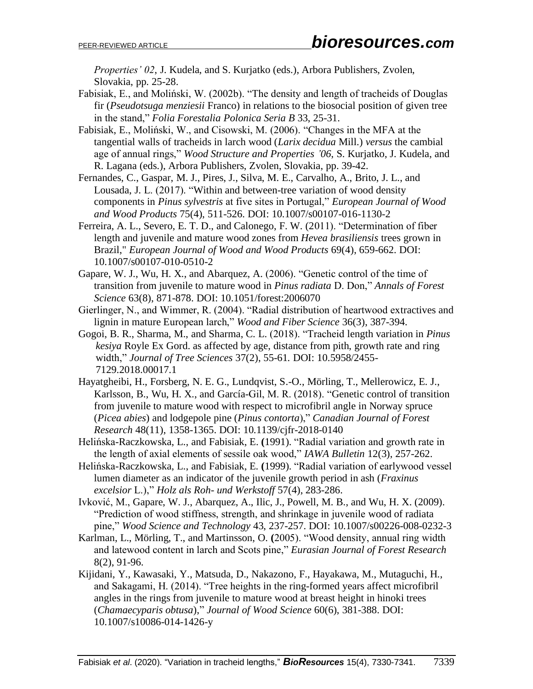*Properties' 02*, J. Kudela, and S. Kurjatko (eds.), Arbora Publishers, Zvolen, Slovakia, pp. 25-28.

- Fabisiak, E., and Moliński, W. (2002b). "The density and length of tracheids of Douglas fir (*Pseudotsuga menziesii* Franco) in relations to the biosocial position of given tree in the stand," *Folia Forestalia Polonica Seria B* 33, 25-31.
- Fabisiak, E., Moliński, W., and Cisowski, M. (2006). "Changes in the MFA at the tangential walls of tracheids in larch wood (*Larix decidua* Mill.) *versus* the cambial age of annual rings," *Wood Structure and Properties '06*, S. Kurjatko, J. Kudela, and R. Lagana (eds.), Arbora Publishers, Zvolen, Slovakia, pp. 39-42.
- Fernandes, C., Gaspar, M. J., Pires, J., Silva, M. E., Carvalho, A., Brito, J. L., and Lousada, J. L. (2017). "Within and between-tree variation of wood density components in *Pinus sylvestris* at five sites in Portugal," *European Journal of Wood and Wood Products* 75(4), 511-526. DOI: 10.1007/s00107-016-1130-2
- Ferreira, A. L., Severo, E. T. D., and Calonego, F. W. (2011). "Determination of fiber length and juvenile and mature wood zones from *Hevea brasiliensis* trees grown in Brazil," *European Journal of Wood and Wood Products* 69(4), 659-662. DOI: 10.1007/s00107-010-0510-2
- Gapare, W. J., Wu, H. X., and Abarquez, A. (2006). "Genetic control of the time of transition from juvenile to mature wood in *Pinus radiata* D. Don," *Annals of Forest Science* 63(8), 871-878. DOI: 10.1051/forest:2006070
- Gierlinger, N., and Wimmer, R. (2004). "Radial distribution of heartwood extractives and lignin in mature European larch," *Wood and Fiber Science* 36(3), 387-394.
- Gogoi, B. R., Sharma, M., and Sharma, C. L. (2018). "Tracheid length variation in *Pinus kesiya* Royle Ex Gord. as affected by age, distance from pith, growth rate and ring width," *Journal of Tree Sciences* 37(2), 55-61*.* DOI: 10.5958/2455- 7129.2018.00017.1
- Hayatgheibi, H., Forsberg, N. E. G., Lundqvist, S.-O., Mörling, T., Mellerowicz, E. J., Karlsson, B., Wu, H. X., and García-Gil, M. R. (2018). "Genetic control of transition from juvenile to mature wood with respect to microfibril angle in Norway spruce (*Picea abies*) and lodgepole pine (*Pinus contorta*)," *Canadian Journal of Forest Research* 48(11), 1358-1365. DOI: 10.1139/cjfr-2018-0140
- Helińska-Raczkowska, L., and Fabisiak, E. **(**1991). "Radial variation and growth rate in the length of axial elements of sessile oak wood," *IAWA Bulletin* 12(3), 257-262.
- Helińska-Raczkowska, L., and Fabisiak, E. **(**1999). "Radial variation of earlywood vessel lumen diameter as an indicator of the juvenile growth period in ash (*Fraxinus excelsior* L.)," *Holz als Roh- und Werkstoff* 57(4), 283-286.
- Ivković, M., Gapare, W. J., Abarquez, A., Ilic, J., Powell, M. B., and Wu, H. X. (2009). "Prediction of wood stiffness, strength, and shrinkage in juvenile wood of radiata pine," *Wood Science and Technology* 43, 237-257. DOI: 10.1007/s00226-008-0232-3
- Karlman, L., Mörling, T., and Martinsson, O. **(**2005). "Wood density, annual ring width and latewood content in larch and Scots pine," *Eurasian Journal of Forest Research* 8(2), 91-96.
- Kijidani, Y., Kawasaki, Y., Matsuda, D., Nakazono, F., Hayakawa, M., Mutaguchi, H., and Sakagami, H. (2014). "Tree heights in the ring-formed years affect microfibril angles in the rings from juvenile to mature wood at breast height in hinoki trees (*Chamaecyparis obtusa*)," *Journal of Wood Science* 60(6), 381-388. DOI: 10.1007/s10086-014-1426-y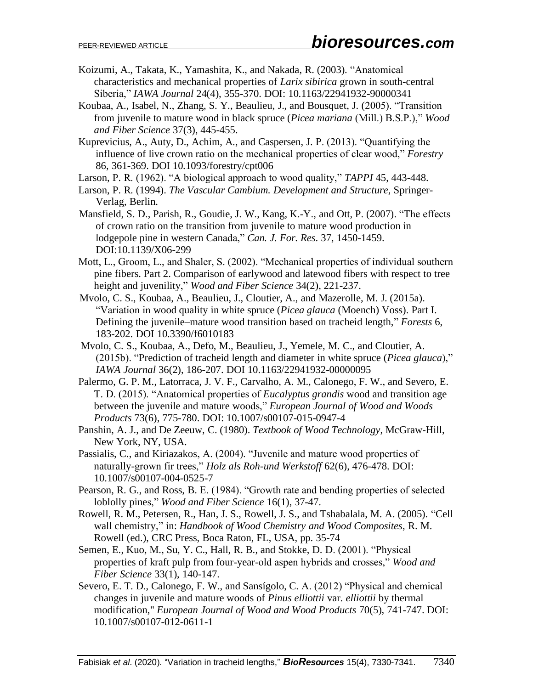- Koizumi, A., Takata, K., Yamashita, K., and Nakada, R. (2003). "Anatomical characteristics and mechanical properties of *Larix sibirica* grown in south-central Siberia," *IAWA Journal* 24(4), 355-370. DOI: 10.1163/22941932-90000341
- Koubaa, A., Isabel, N., Zhang, S. Y., Beaulieu, J., and Bousquet, J. (2005). "Transition from juvenile to mature wood in black spruce (*Picea mariana* (Mill.) B.S.P.)," *Wood and Fiber Science* 37(3), 445-455.
- Kuprevicius, A., Auty, D., Achim, A., and Caspersen, J. P. (2013). "Quantifying the influence of live crown ratio on the mechanical properties of clear wood," *Forestry* 86, 361-369. DOI 10.1093/forestry/cpt006
- Larson, P. R. (1962). "A biological approach to wood quality," *TAPPI* 45, 443-448.
- Larson, P. R. (1994). *The Vascular Cambium. Development and Structure*, Springer-Verlag, Berlin.
- Mansfield, S. D., Parish, R., Goudie, J. W., Kang, K.-Y., and Ott, P. (2007). "The effects of crown ratio on the transition from juvenile to mature wood production in lodgepole pine in western Canada," *Can. J. For. Res*. 37, 1450-1459. DOI:10.1139/X06-299
- Mott, L., Groom, L., and Shaler, S. (2002). "Mechanical properties of individual southern pine fibers. Part 2. Comparison of earlywood and latewood fibers with respect to tree height and juvenility," *Wood and Fiber Science* 34(2), 221-237.
- Mvolo, C. S., Koubaa, A., Beaulieu, J., Cloutier, A., and Mazerolle, M. J. (2015a). "Variation in wood quality in white spruce (*Picea glauca* (Moench) Voss). Part I. Defining the juvenile–mature wood transition based on tracheid length," *Forests* 6, 183-202. DOI 10.3390/f6010183
- Mvolo, C. S., Koubaa, A., Defo, M., Beaulieu, J., Yemele, M. C., and Cloutier, A. (2015b). "Prediction of tracheid length and diameter in white spruce (*Picea glauca*)," *IAWA Journal* 36(2), 186-207. DOI 10.1163/22941932-00000095
- Palermo, G. P. M., Latorraca, J. V. F., Carvalho, A. M., Calonego, F. W., and Severo, E. T. D. (2015). "Anatomical properties of *Eucalyptus grandis* wood and transition age between the juvenile and mature woods," *European Journal of Wood and Woods Products* 73(6), 775-780. DOI: 10.1007/s00107-015-0947-4
- Panshin, A. J., and De Zeeuw, C. (1980). *Textbook of Wood Technology*, McGraw-Hill, New York, NY, USA.
- Passialis, C., and Kiriazakos, A. (2004). "Juvenile and mature wood properties of naturally-grown fir trees," *Holz als Roh-und Werkstoff* 62(6), 476-478. DOI: 10.1007/s00107-004-0525-7
- Pearson, R. G., and Ross, B. E. (1984). "Growth rate and bending properties of selected loblolly pines," *Wood and Fiber Science* 16(1), 37-47.
- Rowell, R. M., Petersen, R., Han, J. S., Rowell, J. S., and Tshabalala, M. A. (2005). "Cell wall chemistry," in: *Handbook of Wood Chemistry and Wood Composites*, R. M. Rowell (ed.), CRC Press, Boca Raton, FL, USA, pp. 35-74
- Semen, E., Kuo, M., Su, Y. C., Hall, R. B., and Stokke, D. D. (2001). "Physical properties of kraft pulp from four-year-old aspen hybrids and crosses," *Wood and Fiber Science* 33(1), 140-147.
- Severo, E. T. D., Calonego, F. W., and Sansígolo, C. A. (2012) "Physical and chemical changes in juvenile and mature woods of *Pinus elliottii* var. *elliottii* by thermal modification," *European Journal of Wood and Wood Products* 70(5), 741-747. DOI: 10.1007/s00107-012-0611-1